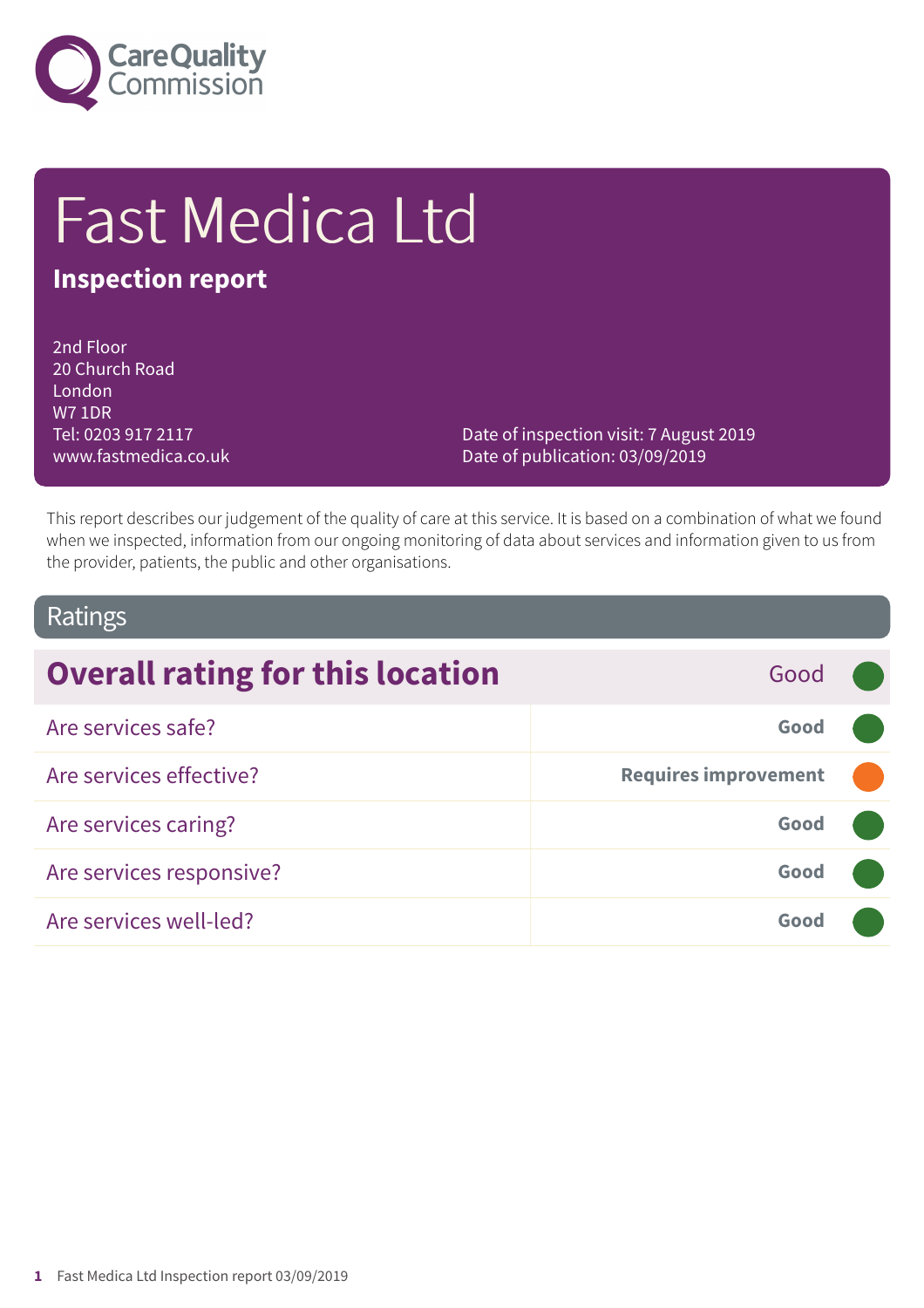

# Fast Medica Ltd

### **Inspection report**

2nd Floor 20 Church Road London W7 1DR Tel: 0203 917 2117 www.fastmedica.co.uk

Date of inspection visit: 7 August 2019 Date of publication: 03/09/2019

This report describes our judgement of the quality of care at this service. It is based on a combination of what we found when we inspected, information from our ongoing monitoring of data about services and information given to us from the provider, patients, the public and other organisations.

### Ratings

| <b>Overall rating for this location</b> | Good                        |  |
|-----------------------------------------|-----------------------------|--|
| Are services safe?                      | Good                        |  |
| Are services effective?                 | <b>Requires improvement</b> |  |
| Are services caring?                    | Good                        |  |
| Are services responsive?                | Good                        |  |
| Are services well-led?                  | Good                        |  |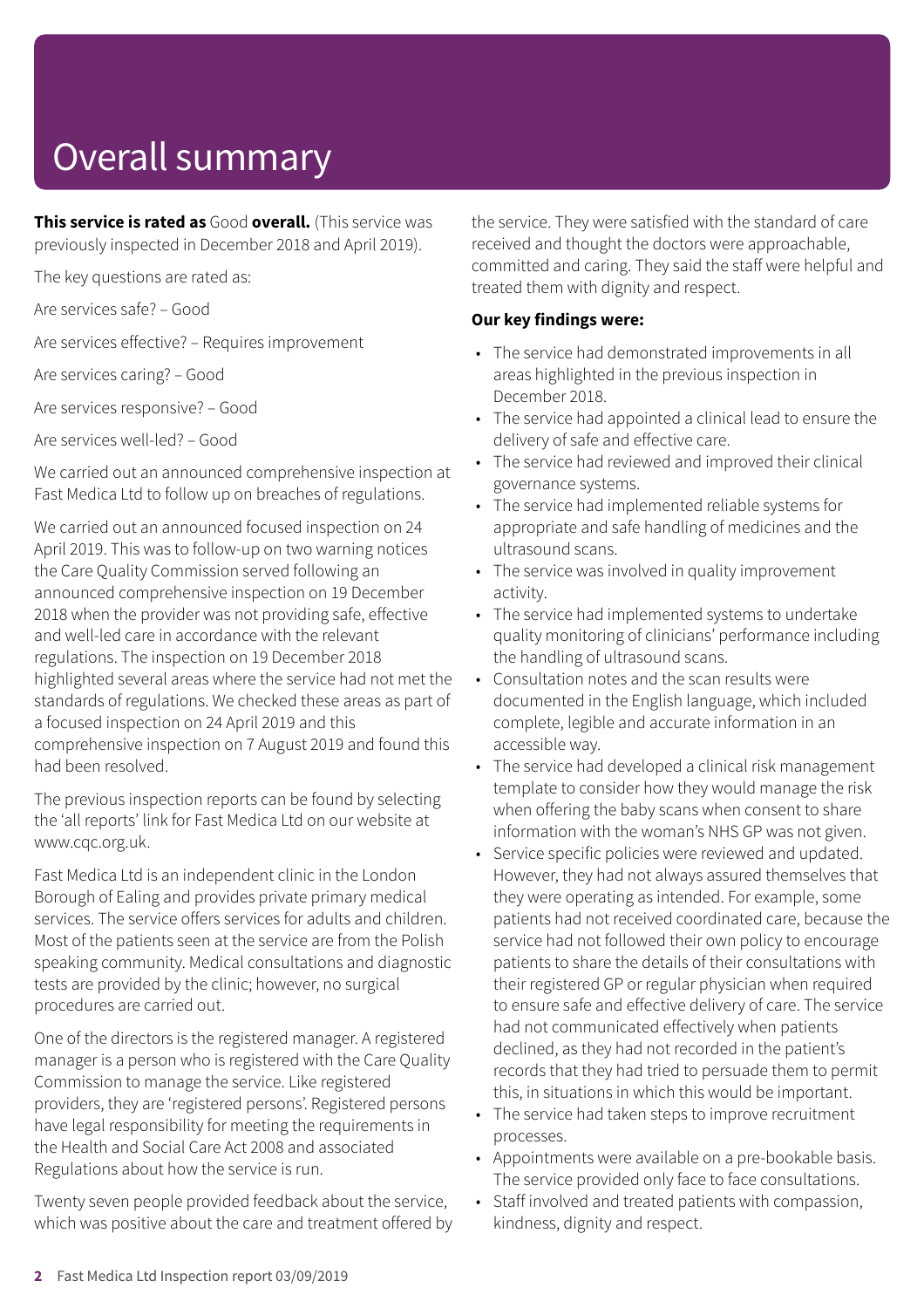# Overall summary

**This service is rated as** Good **overall.** (This service was previously inspected in December 2018 and April 2019).

The key questions are rated as:

Are services safe? – Good

Are services effective? – Requires improvement

Are services caring? – Good

Are services responsive? – Good

Are services well-led? – Good

We carried out an announced comprehensive inspection at Fast Medica Ltd to follow up on breaches of regulations.

We carried out an announced focused inspection on 24 April 2019. This was to follow-up on two warning notices the Care Quality Commission served following an announced comprehensive inspection on 19 December 2018 when the provider was not providing safe, effective and well-led care in accordance with the relevant regulations. The inspection on 19 December 2018 highlighted several areas where the service had not met the standards of regulations. We checked these areas as part of a focused inspection on 24 April 2019 and this comprehensive inspection on 7 August 2019 and found this had been resolved.

The previous inspection reports can be found by selecting the 'all reports' link for Fast Medica Ltd on our website at www.cqc.org.uk.

Fast Medica Ltd is an independent clinic in the London Borough of Ealing and provides private primary medical services. The service offers services for adults and children. Most of the patients seen at the service are from the Polish speaking community. Medical consultations and diagnostic tests are provided by the clinic; however, no surgical procedures are carried out.

One of the directors is the registered manager. A registered manager is a person who is registered with the Care Quality Commission to manage the service. Like registered providers, they are 'registered persons'. Registered persons have legal responsibility for meeting the requirements in the Health and Social Care Act 2008 and associated Regulations about how the service is run.

Twenty seven people provided feedback about the service, which was positive about the care and treatment offered by the service. They were satisfied with the standard of care received and thought the doctors were approachable, committed and caring. They said the staff were helpful and treated them with dignity and respect.

#### **Our key findings were:**

- The service had demonstrated improvements in all areas highlighted in the previous inspection in December 2018.
- The service had appointed a clinical lead to ensure the delivery of safe and effective care.
- The service had reviewed and improved their clinical governance systems.
- The service had implemented reliable systems for appropriate and safe handling of medicines and the ultrasound scans.
- The service was involved in quality improvement activity.
- The service had implemented systems to undertake quality monitoring of clinicians' performance including the handling of ultrasound scans.
- Consultation notes and the scan results were documented in the English language, which included complete, legible and accurate information in an accessible way.
- The service had developed a clinical risk management template to consider how they would manage the risk when offering the baby scans when consent to share information with the woman's NHS GP was not given.
- Service specific policies were reviewed and updated. However, they had not always assured themselves that they were operating as intended. For example, some patients had not received coordinated care, because the service had not followed their own policy to encourage patients to share the details of their consultations with their registered GP or regular physician when required to ensure safe and effective delivery of care. The service had not communicated effectively when patients declined, as they had not recorded in the patient's records that they had tried to persuade them to permit this, in situations in which this would be important.
- The service had taken steps to improve recruitment processes.
- Appointments were available on a pre-bookable basis. The service provided only face to face consultations.
- Staff involved and treated patients with compassion, kindness, dignity and respect.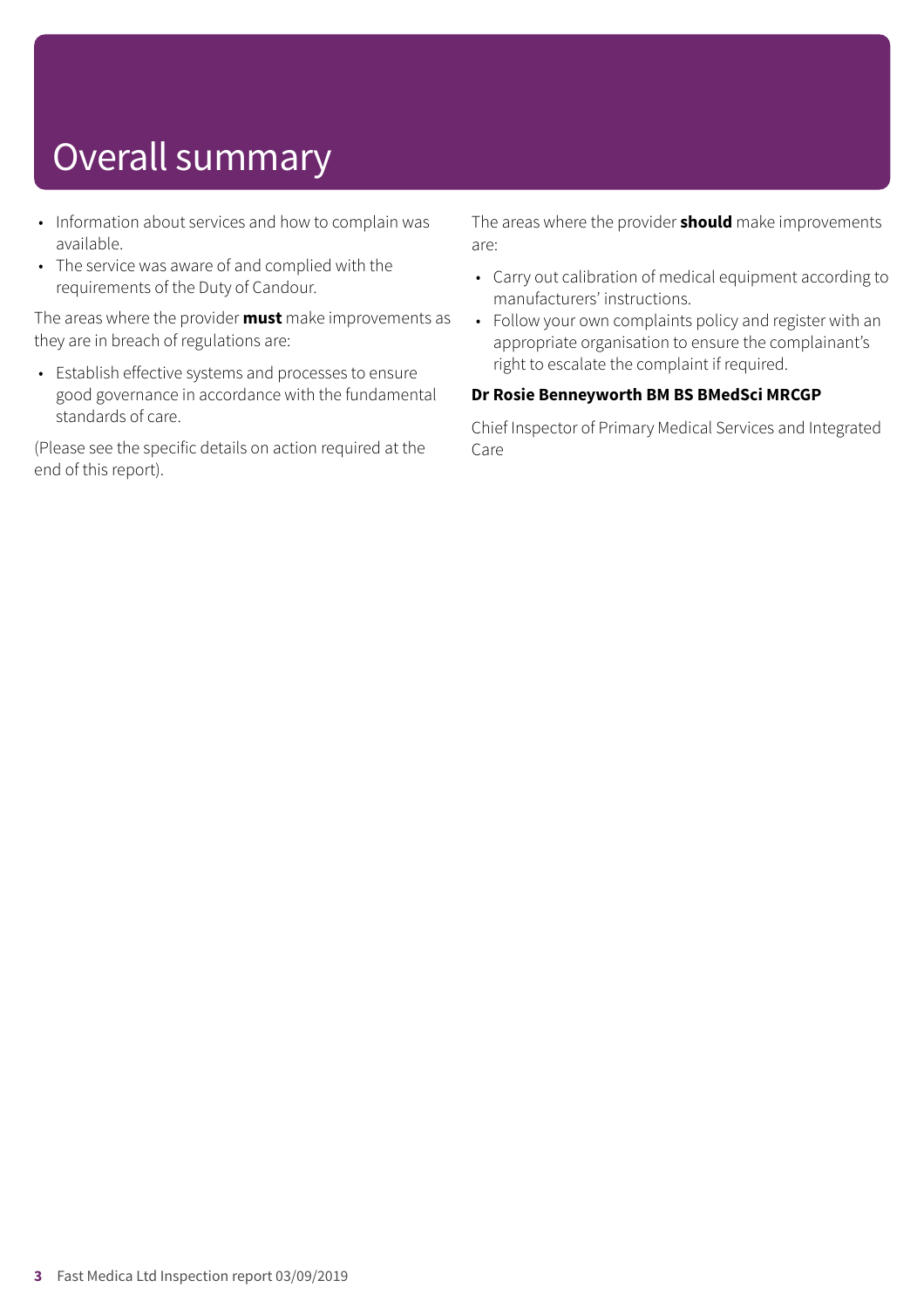# Overall summary

- Information about services and how to complain was available.
- The service was aware of and complied with the requirements of the Duty of Candour.

The areas where the provider **must** make improvements as they are in breach of regulations are:

• Establish effective systems and processes to ensure good governance in accordance with the fundamental standards of care.

(Please see the specific details on action required at the end of this report).

The areas where the provider **should** make improvements are:

- Carry out calibration of medical equipment according to manufacturers' instructions.
- Follow your own complaints policy and register with an appropriate organisation to ensure the complainant's right to escalate the complaint if required.

#### **Dr Rosie Benneyworth BM BS BMedSci MRCGP**

Chief Inspector of Primary Medical Services and Integrated Care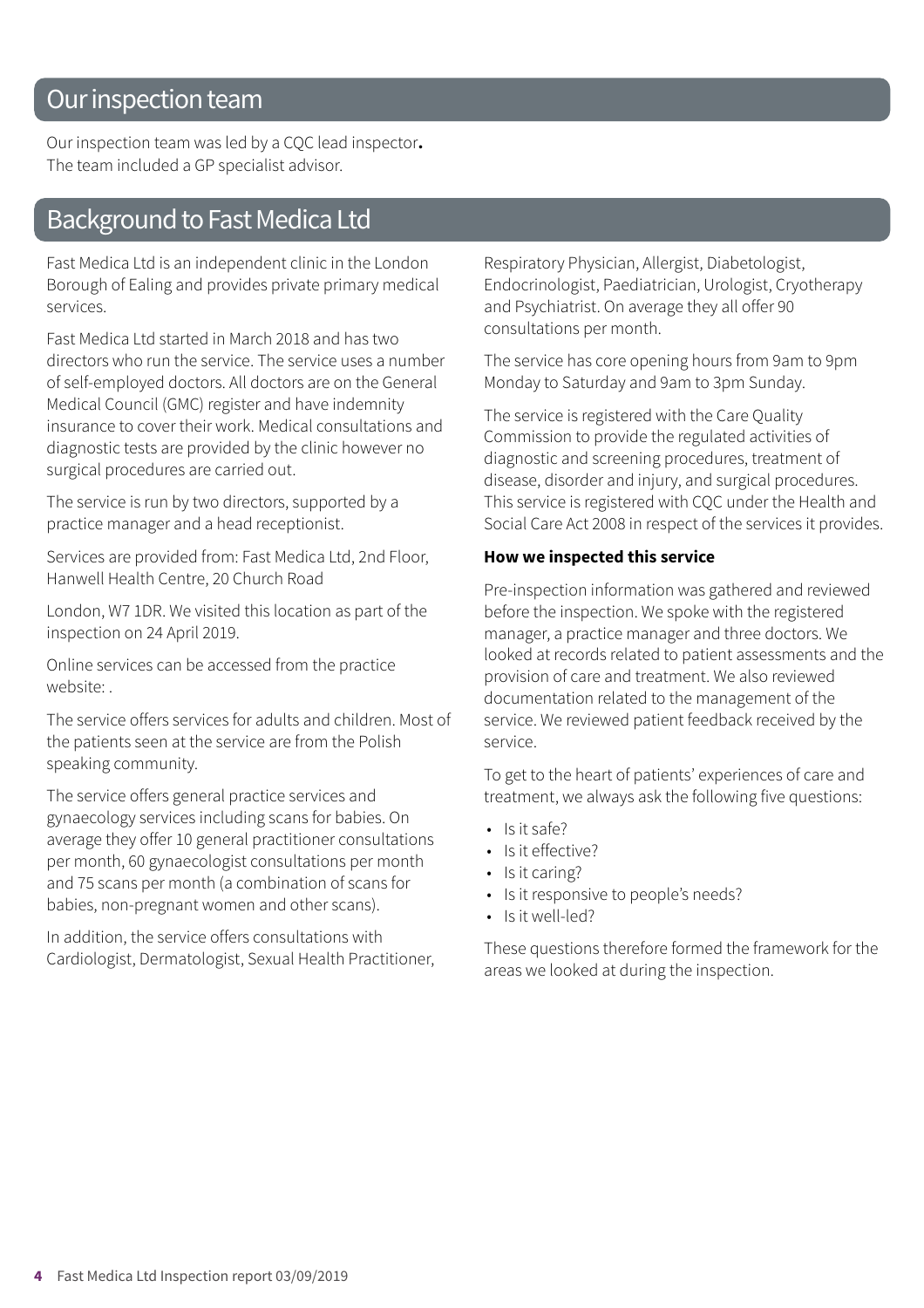### Our inspection team

Our inspection team was led by a CQC lead inspector**.** The team included a GP specialist advisor.

### Background to Fast Medica Ltd

Fast Medica Ltd is an independent clinic in the London Borough of Ealing and provides private primary medical services.

Fast Medica Ltd started in March 2018 and has two directors who run the service. The service uses a number of self-employed doctors. All doctors are on the General Medical Council (GMC) register and have indemnity insurance to cover their work. Medical consultations and diagnostic tests are provided by the clinic however no surgical procedures are carried out.

The service is run by two directors, supported by a practice manager and a head receptionist.

Services are provided from: Fast Medica Ltd, 2nd Floor, Hanwell Health Centre, 20 Church Road

London, W7 1DR. We visited this location as part of the inspection on 24 April 2019.

Online services can be accessed from the practice website: .

The service offers services for adults and children. Most of the patients seen at the service are from the Polish speaking community.

The service offers general practice services and gynaecology services including scans for babies. On average they offer 10 general practitioner consultations per month, 60 gynaecologist consultations per month and 75 scans per month (a combination of scans for babies, non-pregnant women and other scans).

In addition, the service offers consultations with Cardiologist, Dermatologist, Sexual Health Practitioner, Respiratory Physician, Allergist, Diabetologist, Endocrinologist, Paediatrician, Urologist, Cryotherapy and Psychiatrist. On average they all offer 90 consultations per month.

The service has core opening hours from 9am to 9pm Monday to Saturday and 9am to 3pm Sunday.

The service is registered with the Care Quality Commission to provide the regulated activities of diagnostic and screening procedures, treatment of disease, disorder and injury, and surgical procedures. This service is registered with CQC under the Health and Social Care Act 2008 in respect of the services it provides.

#### **How we inspected this service**

Pre-inspection information was gathered and reviewed before the inspection. We spoke with the registered manager, a practice manager and three doctors. We looked at records related to patient assessments and the provision of care and treatment. We also reviewed documentation related to the management of the service. We reviewed patient feedback received by the service.

To get to the heart of patients' experiences of care and treatment, we always ask the following five questions:

- $\cdot$  Is it safe?
- Is it effective?
- Is it caring?
- Is it responsive to people's needs?
- Is it well-led?

These questions therefore formed the framework for the areas we looked at during the inspection.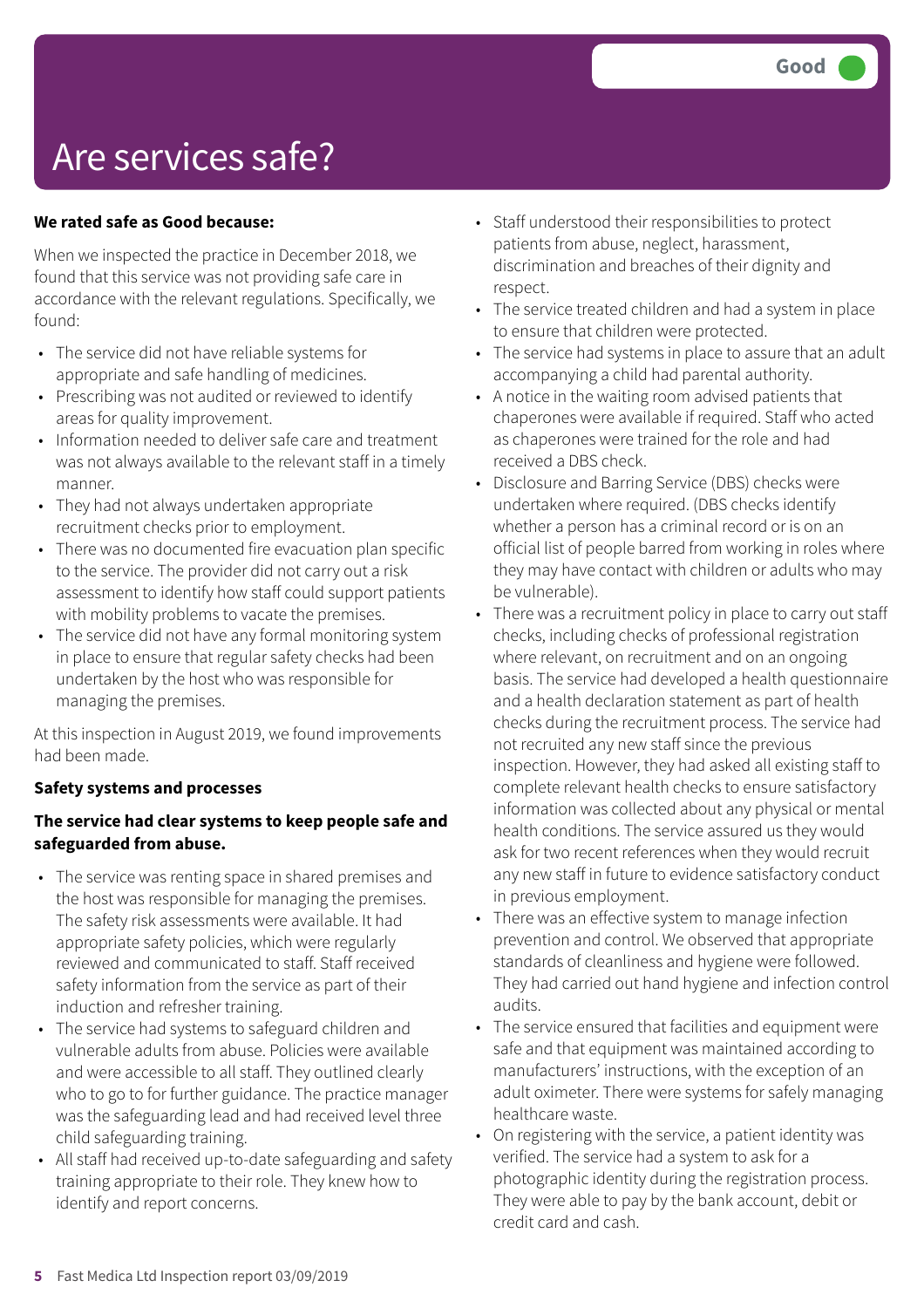### Are services safe?

#### **We rated safe as Good because:**

When we inspected the practice in December 2018, we found that this service was not providing safe care in accordance with the relevant regulations. Specifically, we found:

- The service did not have reliable systems for appropriate and safe handling of medicines.
- Prescribing was not audited or reviewed to identify areas for quality improvement.
- Information needed to deliver safe care and treatment was not always available to the relevant staff in a timely manner.
- They had not always undertaken appropriate recruitment checks prior to employment.
- There was no documented fire evacuation plan specific to the service. The provider did not carry out a risk assessment to identify how staff could support patients with mobility problems to vacate the premises.
- The service did not have any formal monitoring system in place to ensure that regular safety checks had been undertaken by the host who was responsible for managing the premises.

At this inspection in August 2019, we found improvements had been made.

#### **Safety systems and processes**

#### **The service had clear systems to keep people safe and safeguarded from abuse.**

- The service was renting space in shared premises and the host was responsible for managing the premises. The safety risk assessments were available. It had appropriate safety policies, which were regularly reviewed and communicated to staff. Staff received safety information from the service as part of their induction and refresher training.
- The service had systems to safeguard children and vulnerable adults from abuse. Policies were available and were accessible to all staff. They outlined clearly who to go to for further guidance. The practice manager was the safeguarding lead and had received level three child safeguarding training.
- All staff had received up-to-date safeguarding and safety training appropriate to their role. They knew how to identify and report concerns.
- Staff understood their responsibilities to protect patients from abuse, neglect, harassment, discrimination and breaches of their dignity and respect.
- The service treated children and had a system in place to ensure that children were protected.
- The service had systems in place to assure that an adult accompanying a child had parental authority.
- A notice in the waiting room advised patients that chaperones were available if required. Staff who acted as chaperones were trained for the role and had received a DBS check.
- Disclosure and Barring Service (DBS) checks were undertaken where required. (DBS checks identify whether a person has a criminal record or is on an official list of people barred from working in roles where they may have contact with children or adults who may be vulnerable).
- There was a recruitment policy in place to carry out staff checks, including checks of professional registration where relevant, on recruitment and on an ongoing basis. The service had developed a health questionnaire and a health declaration statement as part of health checks during the recruitment process. The service had not recruited any new staff since the previous inspection. However, they had asked all existing staff to complete relevant health checks to ensure satisfactory information was collected about any physical or mental health conditions. The service assured us they would ask for two recent references when they would recruit any new staff in future to evidence satisfactory conduct in previous employment.
- There was an effective system to manage infection prevention and control. We observed that appropriate standards of cleanliness and hygiene were followed. They had carried out hand hygiene and infection control audits.
- The service ensured that facilities and equipment were safe and that equipment was maintained according to manufacturers' instructions, with the exception of an adult oximeter. There were systems for safely managing healthcare waste.
- On registering with the service, a patient identity was verified. The service had a system to ask for a photographic identity during the registration process. They were able to pay by the bank account, debit or credit card and cash.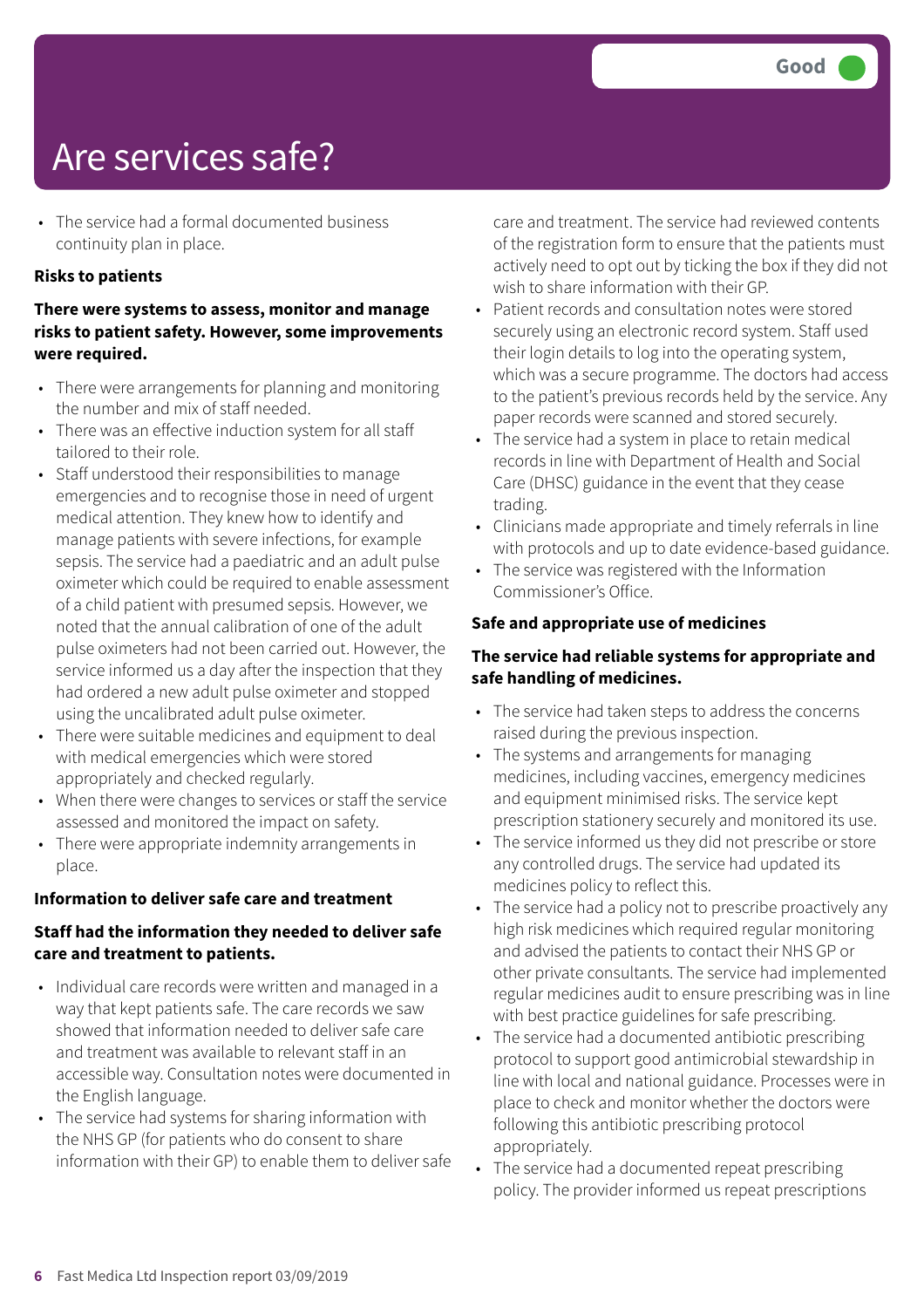### Are services safe?

• The service had a formal documented business continuity plan in place.

#### **Risks to patients**

#### **There were systems to assess, monitor and manage risks to patient safety. However, some improvements were required.**

- There were arrangements for planning and monitoring the number and mix of staff needed.
- There was an effective induction system for all staff tailored to their role.
- Staff understood their responsibilities to manage emergencies and to recognise those in need of urgent medical attention. They knew how to identify and manage patients with severe infections, for example sepsis. The service had a paediatric and an adult pulse oximeter which could be required to enable assessment of a child patient with presumed sepsis. However, we noted that the annual calibration of one of the adult pulse oximeters had not been carried out. However, the service informed us a day after the inspection that they had ordered a new adult pulse oximeter and stopped using the uncalibrated adult pulse oximeter.
- There were suitable medicines and equipment to deal with medical emergencies which were stored appropriately and checked regularly.
- When there were changes to services or staff the service assessed and monitored the impact on safety.
- There were appropriate indemnity arrangements in place.

#### **Information to deliver safe care and treatment**

#### **Staff had the information they needed to deliver safe care and treatment to patients.**

- Individual care records were written and managed in a way that kept patients safe. The care records we saw showed that information needed to deliver safe care and treatment was available to relevant staff in an accessible way. Consultation notes were documented in the English language.
- The service had systems for sharing information with the NHS GP (for patients who do consent to share information with their GP) to enable them to deliver safe

care and treatment. The service had reviewed contents of the registration form to ensure that the patients must actively need to opt out by ticking the box if they did not wish to share information with their GP.

- Patient records and consultation notes were stored securely using an electronic record system. Staff used their login details to log into the operating system, which was a secure programme. The doctors had access to the patient's previous records held by the service. Any paper records were scanned and stored securely.
- The service had a system in place to retain medical records in line with Department of Health and Social Care (DHSC) guidance in the event that they cease trading.
- Clinicians made appropriate and timely referrals in line with protocols and up to date evidence-based guidance.
- The service was registered with the Information Commissioner's Office.

#### **Safe and appropriate use of medicines**

#### **The service had reliable systems for appropriate and safe handling of medicines.**

- The service had taken steps to address the concerns raised during the previous inspection.
- The systems and arrangements for managing medicines, including vaccines, emergency medicines and equipment minimised risks. The service kept prescription stationery securely and monitored its use.
- The service informed us they did not prescribe or store any controlled drugs. The service had updated its medicines policy to reflect this.
- The service had a policy not to prescribe proactively any high risk medicines which required regular monitoring and advised the patients to contact their NHS GP or other private consultants. The service had implemented regular medicines audit to ensure prescribing was in line with best practice guidelines for safe prescribing.
- The service had a documented antibiotic prescribing protocol to support good antimicrobial stewardship in line with local and national guidance. Processes were in place to check and monitor whether the doctors were following this antibiotic prescribing protocol appropriately.
- The service had a documented repeat prescribing policy. The provider informed us repeat prescriptions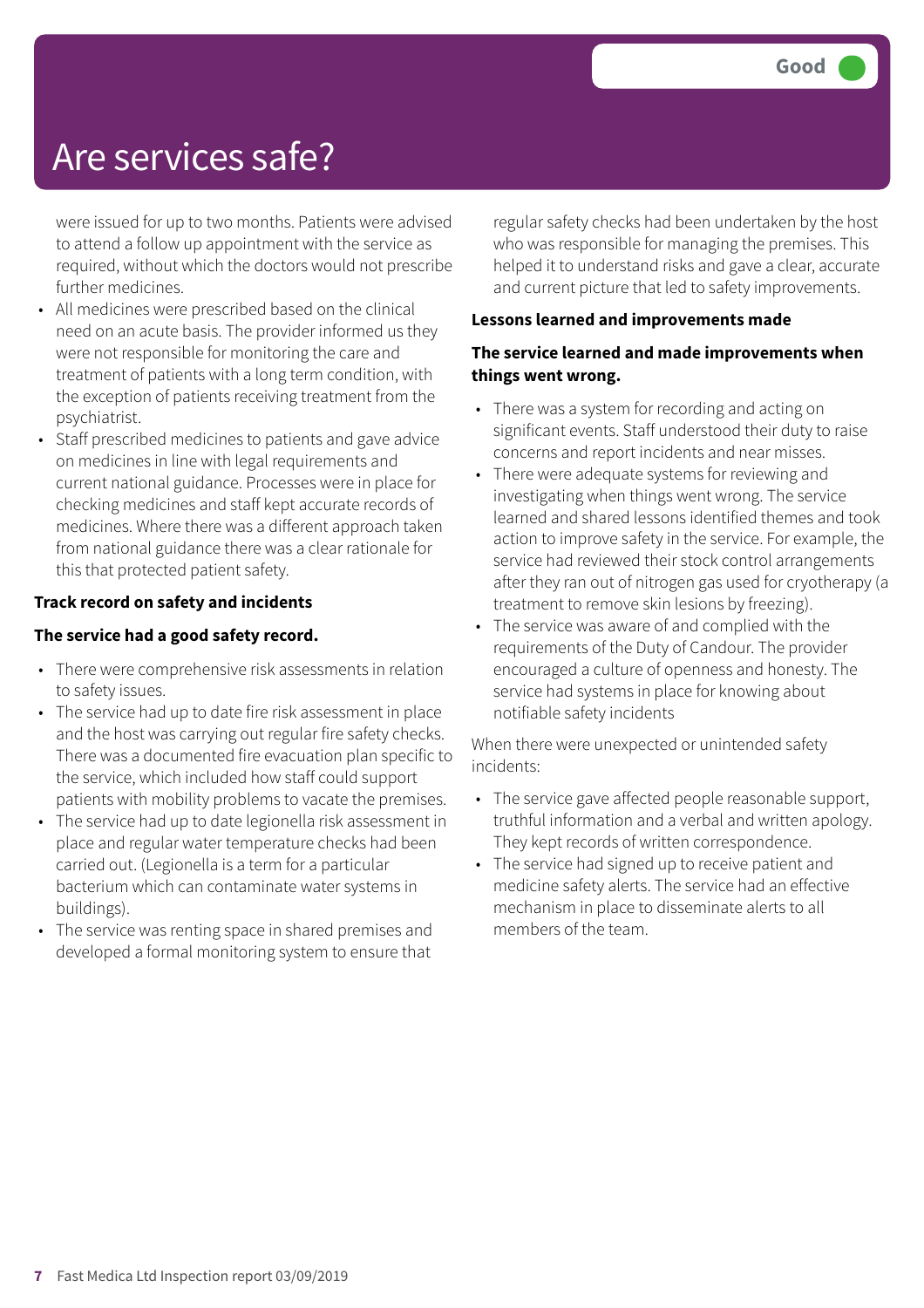### Are services safe?

were issued for up to two months. Patients were advised to attend a follow up appointment with the service as required, without which the doctors would not prescribe further medicines.

- All medicines were prescribed based on the clinical need on an acute basis. The provider informed us they were not responsible for monitoring the care and treatment of patients with a long term condition, with the exception of patients receiving treatment from the psychiatrist.
- Staff prescribed medicines to patients and gave advice on medicines in line with legal requirements and current national guidance. Processes were in place for checking medicines and staff kept accurate records of medicines. Where there was a different approach taken from national guidance there was a clear rationale for this that protected patient safety.

#### **Track record on safety and incidents**

#### **The service had a good safety record.**

- There were comprehensive risk assessments in relation to safety issues.
- The service had up to date fire risk assessment in place and the host was carrying out regular fire safety checks. There was a documented fire evacuation plan specific to the service, which included how staff could support patients with mobility problems to vacate the premises.
- The service had up to date legionella risk assessment in place and regular water temperature checks had been carried out. (Legionella is a term for a particular bacterium which can contaminate water systems in buildings).
- The service was renting space in shared premises and developed a formal monitoring system to ensure that

regular safety checks had been undertaken by the host who was responsible for managing the premises. This helped it to understand risks and gave a clear, accurate and current picture that led to safety improvements.

#### **Lessons learned and improvements made**

#### **The service learned and made improvements when things went wrong.**

- There was a system for recording and acting on significant events. Staff understood their duty to raise concerns and report incidents and near misses.
- There were adequate systems for reviewing and investigating when things went wrong. The service learned and shared lessons identified themes and took action to improve safety in the service. For example, the service had reviewed their stock control arrangements after they ran out of nitrogen gas used for cryotherapy (a treatment to remove skin lesions by freezing).
- The service was aware of and complied with the requirements of the Duty of Candour. The provider encouraged a culture of openness and honesty. The service had systems in place for knowing about notifiable safety incidents

When there were unexpected or unintended safety incidents:

- The service gave affected people reasonable support, truthful information and a verbal and written apology. They kept records of written correspondence.
- The service had signed up to receive patient and medicine safety alerts. The service had an effective mechanism in place to disseminate alerts to all members of the team.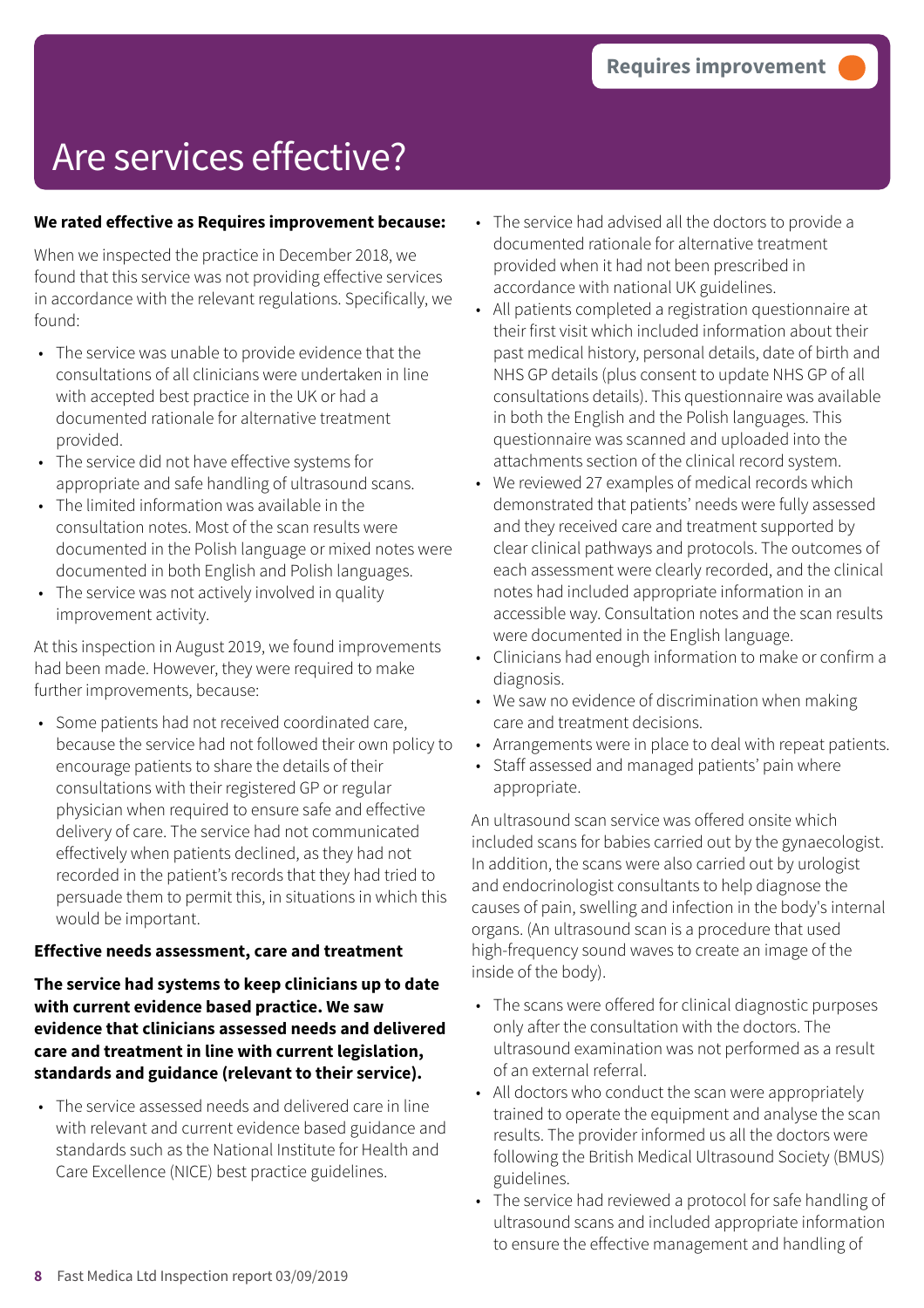#### **We rated effective as Requires improvement because:**

When we inspected the practice in December 2018, we found that this service was not providing effective services in accordance with the relevant regulations. Specifically, we found:

- The service was unable to provide evidence that the consultations of all clinicians were undertaken in line with accepted best practice in the UK or had a documented rationale for alternative treatment provided.
- The service did not have effective systems for appropriate and safe handling of ultrasound scans.
- The limited information was available in the consultation notes. Most of the scan results were documented in the Polish language or mixed notes were documented in both English and Polish languages.
- The service was not actively involved in quality improvement activity.

At this inspection in August 2019, we found improvements had been made. However, they were required to make further improvements, because:

• Some patients had not received coordinated care, because the service had not followed their own policy to encourage patients to share the details of their consultations with their registered GP or regular physician when required to ensure safe and effective delivery of care. The service had not communicated effectively when patients declined, as they had not recorded in the patient's records that they had tried to persuade them to permit this, in situations in which this would be important.

#### **Effective needs assessment, care and treatment**

**The service had systems to keep clinicians up to date with current evidence based practice. We saw evidence that clinicians assessed needs and delivered care and treatment in line with current legislation, standards and guidance (relevant to their service).**

• The service assessed needs and delivered care in line with relevant and current evidence based guidance and standards such as the National Institute for Health and Care Excellence (NICE) best practice guidelines.

- The service had advised all the doctors to provide a documented rationale for alternative treatment provided when it had not been prescribed in accordance with national UK guidelines.
- All patients completed a registration questionnaire at their first visit which included information about their past medical history, personal details, date of birth and NHS GP details (plus consent to update NHS GP of all consultations details). This questionnaire was available in both the English and the Polish languages. This questionnaire was scanned and uploaded into the attachments section of the clinical record system.
- We reviewed 27 examples of medical records which demonstrated that patients' needs were fully assessed and they received care and treatment supported by clear clinical pathways and protocols. The outcomes of each assessment were clearly recorded, and the clinical notes had included appropriate information in an accessible way. Consultation notes and the scan results were documented in the English language.
- Clinicians had enough information to make or confirm a diagnosis.
- We saw no evidence of discrimination when making care and treatment decisions.
- Arrangements were in place to deal with repeat patients.
- Staff assessed and managed patients' pain where appropriate.

An ultrasound scan service was offered onsite which included scans for babies carried out by the gynaecologist. In addition, the scans were also carried out by urologist and endocrinologist consultants to help diagnose the causes of pain, swelling and infection in the body's internal organs. (An ultrasound scan is a procedure that used high-frequency sound waves to create an image of the inside of the body).

- The scans were offered for clinical diagnostic purposes only after the consultation with the doctors. The ultrasound examination was not performed as a result of an external referral.
- All doctors who conduct the scan were appropriately trained to operate the equipment and analyse the scan results. The provider informed us all the doctors were following the British Medical Ultrasound Society (BMUS) guidelines.
- The service had reviewed a protocol for safe handling of ultrasound scans and included appropriate information to ensure the effective management and handling of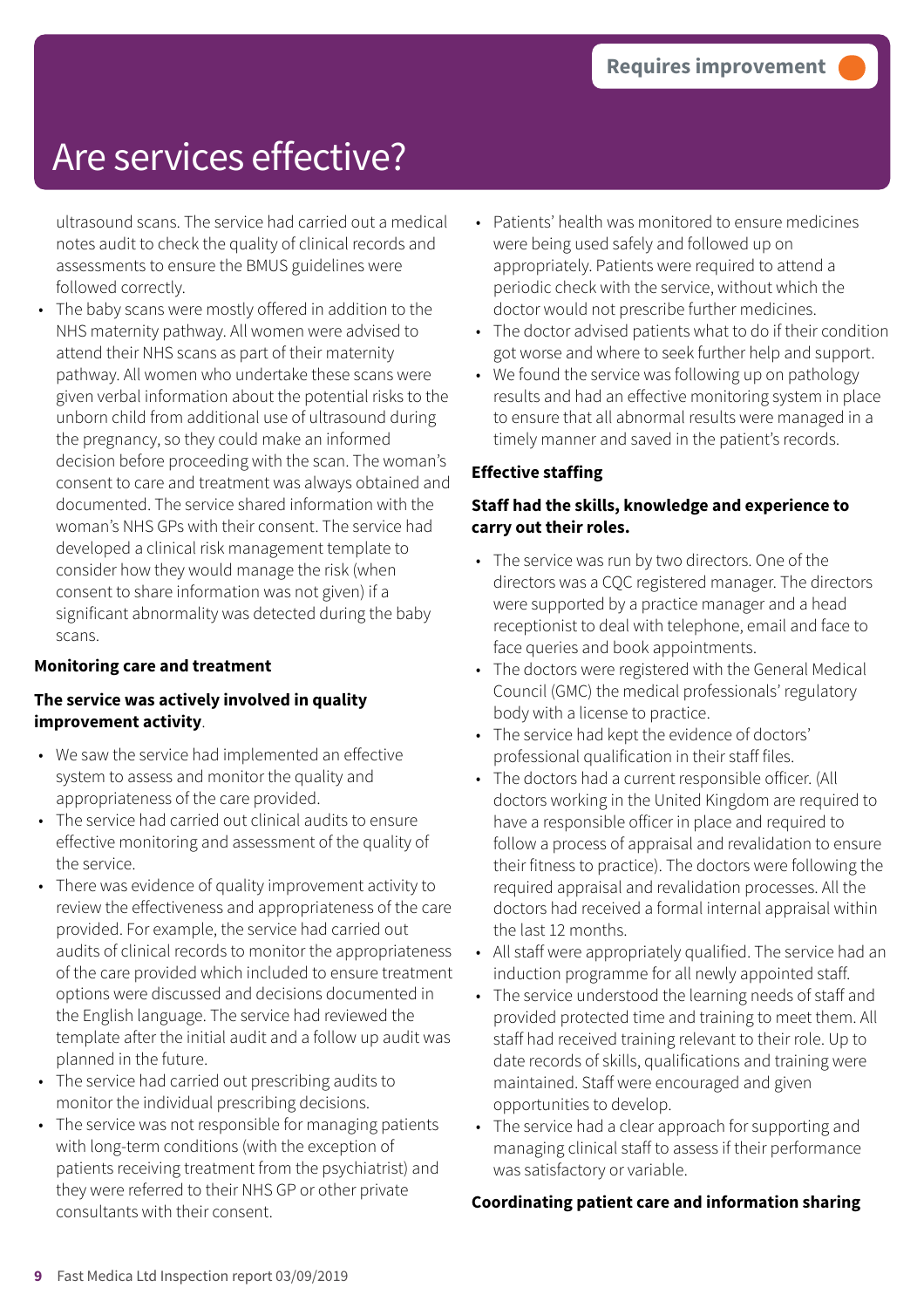ultrasound scans. The service had carried out a medical notes audit to check the quality of clinical records and assessments to ensure the BMUS guidelines were followed correctly.

The baby scans were mostly offered in addition to the NHS maternity pathway. All women were advised to attend their NHS scans as part of their maternity pathway. All women who undertake these scans were given verbal information about the potential risks to the unborn child from additional use of ultrasound during the pregnancy, so they could make an informed decision before proceeding with the scan. The woman's consent to care and treatment was always obtained and documented. The service shared information with the woman's NHS GPs with their consent. The service had developed a clinical risk management template to consider how they would manage the risk (when consent to share information was not given) if a significant abnormality was detected during the baby scans.

#### **Monitoring care and treatment**

#### **The service was actively involved in quality improvement activity**.

- We saw the service had implemented an effective system to assess and monitor the quality and appropriateness of the care provided.
- The service had carried out clinical audits to ensure effective monitoring and assessment of the quality of the service.
- There was evidence of quality improvement activity to review the effectiveness and appropriateness of the care provided. For example, the service had carried out audits of clinical records to monitor the appropriateness of the care provided which included to ensure treatment options were discussed and decisions documented in the English language. The service had reviewed the template after the initial audit and a follow up audit was planned in the future.
- The service had carried out prescribing audits to monitor the individual prescribing decisions.
- The service was not responsible for managing patients with long-term conditions (with the exception of patients receiving treatment from the psychiatrist) and they were referred to their NHS GP or other private consultants with their consent.
- Patients' health was monitored to ensure medicines were being used safely and followed up on appropriately. Patients were required to attend a periodic check with the service, without which the doctor would not prescribe further medicines.
- The doctor advised patients what to do if their condition got worse and where to seek further help and support.
- We found the service was following up on pathology results and had an effective monitoring system in place to ensure that all abnormal results were managed in a timely manner and saved in the patient's records.

#### **Effective staffing**

#### **Staff had the skills, knowledge and experience to carry out their roles.**

- The service was run by two directors. One of the directors was a CQC registered manager. The directors were supported by a practice manager and a head receptionist to deal with telephone, email and face to face queries and book appointments.
- The doctors were registered with the General Medical Council (GMC) the medical professionals' regulatory body with a license to practice.
- The service had kept the evidence of doctors' professional qualification in their staff files.
- The doctors had a current responsible officer. (All doctors working in the United Kingdom are required to have a responsible officer in place and required to follow a process of appraisal and revalidation to ensure their fitness to practice). The doctors were following the required appraisal and revalidation processes. All the doctors had received a formal internal appraisal within the last 12 months.
- All staff were appropriately qualified. The service had an induction programme for all newly appointed staff.
- The service understood the learning needs of staff and provided protected time and training to meet them. All staff had received training relevant to their role. Up to date records of skills, qualifications and training were maintained. Staff were encouraged and given opportunities to develop.
- The service had a clear approach for supporting and managing clinical staff to assess if their performance was satisfactory or variable.

#### **Coordinating patient care and information sharing**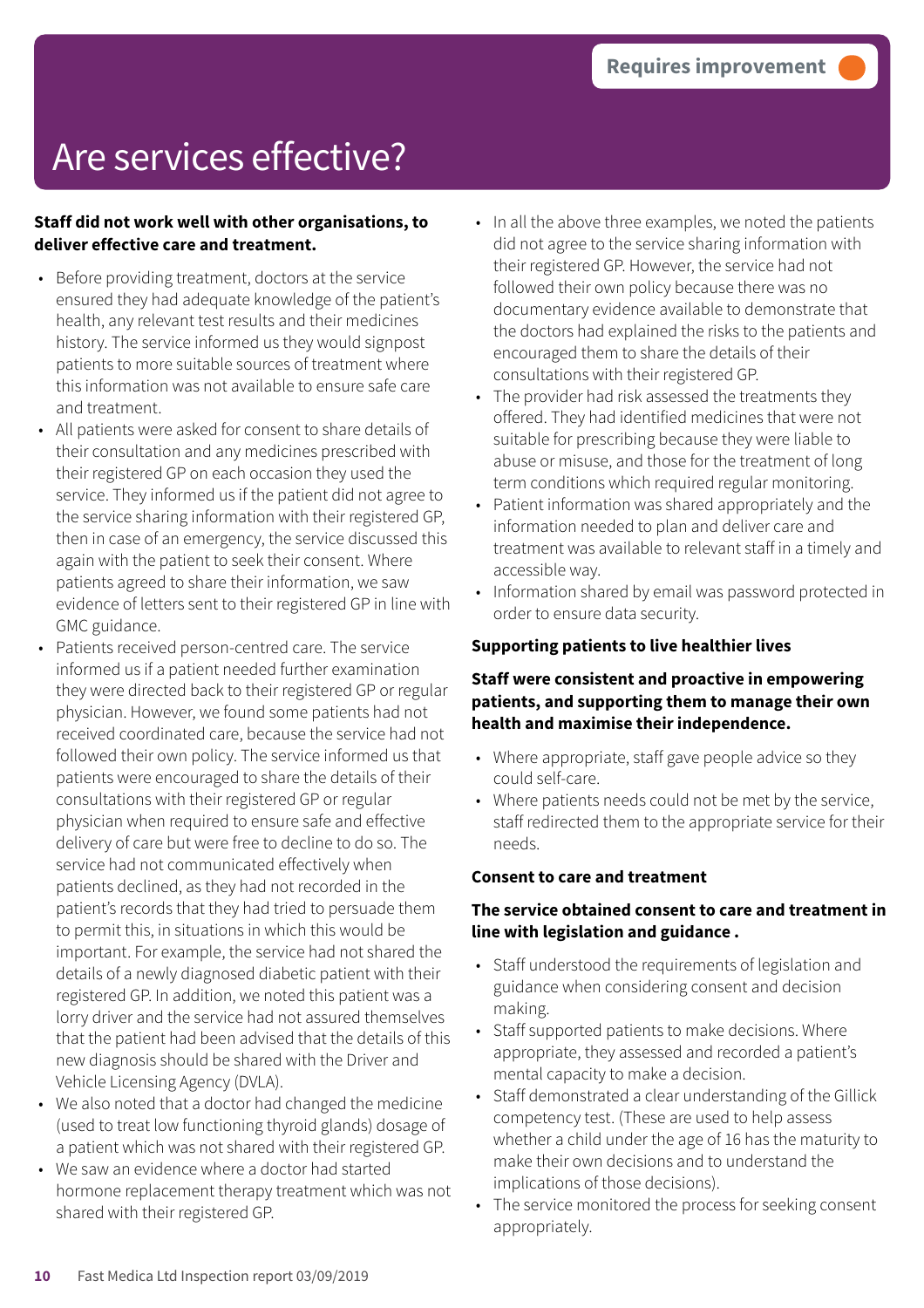#### **Staff did not work well with other organisations, to deliver effective care and treatment.**

- Before providing treatment, doctors at the service ensured they had adequate knowledge of the patient's health, any relevant test results and their medicines history. The service informed us they would signpost patients to more suitable sources of treatment where this information was not available to ensure safe care and treatment.
- All patients were asked for consent to share details of their consultation and any medicines prescribed with their registered GP on each occasion they used the service. They informed us if the patient did not agree to the service sharing information with their registered GP, then in case of an emergency, the service discussed this again with the patient to seek their consent. Where patients agreed to share their information, we saw evidence of letters sent to their registered GP in line with GMC guidance.
- Patients received person-centred care. The service informed us if a patient needed further examination they were directed back to their registered GP or regular physician. However, we found some patients had not received coordinated care, because the service had not followed their own policy. The service informed us that patients were encouraged to share the details of their consultations with their registered GP or regular physician when required to ensure safe and effective delivery of care but were free to decline to do so. The service had not communicated effectively when patients declined, as they had not recorded in the patient's records that they had tried to persuade them to permit this, in situations in which this would be important. For example, the service had not shared the details of a newly diagnosed diabetic patient with their registered GP. In addition, we noted this patient was a lorry driver and the service had not assured themselves that the patient had been advised that the details of this new diagnosis should be shared with the Driver and Vehicle Licensing Agency (DVLA).
- We also noted that a doctor had changed the medicine (used to treat low functioning thyroid glands) dosage of a patient which was not shared with their registered GP.
- We saw an evidence where a doctor had started hormone replacement therapy treatment which was not shared with their registered GP.
- In all the above three examples, we noted the patients did not agree to the service sharing information with their registered GP. However, the service had not followed their own policy because there was no documentary evidence available to demonstrate that the doctors had explained the risks to the patients and encouraged them to share the details of their consultations with their registered GP.
- The provider had risk assessed the treatments they offered. They had identified medicines that were not suitable for prescribing because they were liable to abuse or misuse, and those for the treatment of long term conditions which required regular monitoring.
- Patient information was shared appropriately and the information needed to plan and deliver care and treatment was available to relevant staff in a timely and accessible way.
- Information shared by email was password protected in order to ensure data security.

#### **Supporting patients to live healthier lives**

#### **Staff were consistent and proactive in empowering patients, and supporting them to manage their own health and maximise their independence.**

- Where appropriate, staff gave people advice so they could self-care.
- Where patients needs could not be met by the service, staff redirected them to the appropriate service for their needs.

#### **Consent to care and treatment**

#### **The service obtained consent to care and treatment in line with legislation and guidance .**

- Staff understood the requirements of legislation and guidance when considering consent and decision making.
- Staff supported patients to make decisions. Where appropriate, they assessed and recorded a patient's mental capacity to make a decision.
- Staff demonstrated a clear understanding of the Gillick competency test. (These are used to help assess whether a child under the age of 16 has the maturity to make their own decisions and to understand the implications of those decisions).
- The service monitored the process for seeking consent appropriately.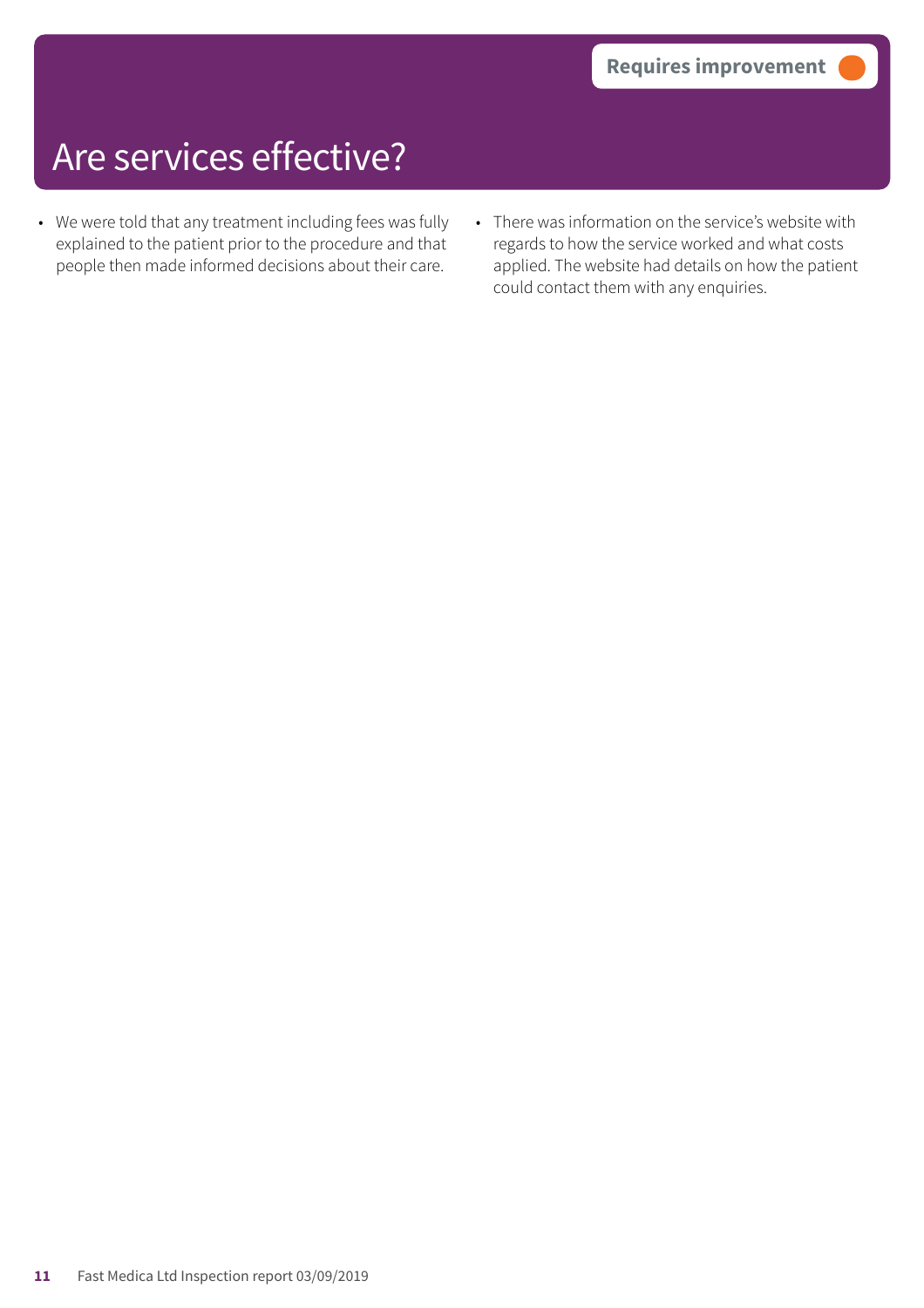- We were told that any treatment including fees was fully explained to the patient prior to the procedure and that people then made informed decisions about their care.
- There was information on the service's website with regards to how the service worked and what costs applied. The website had details on how the patient could contact them with any enquiries.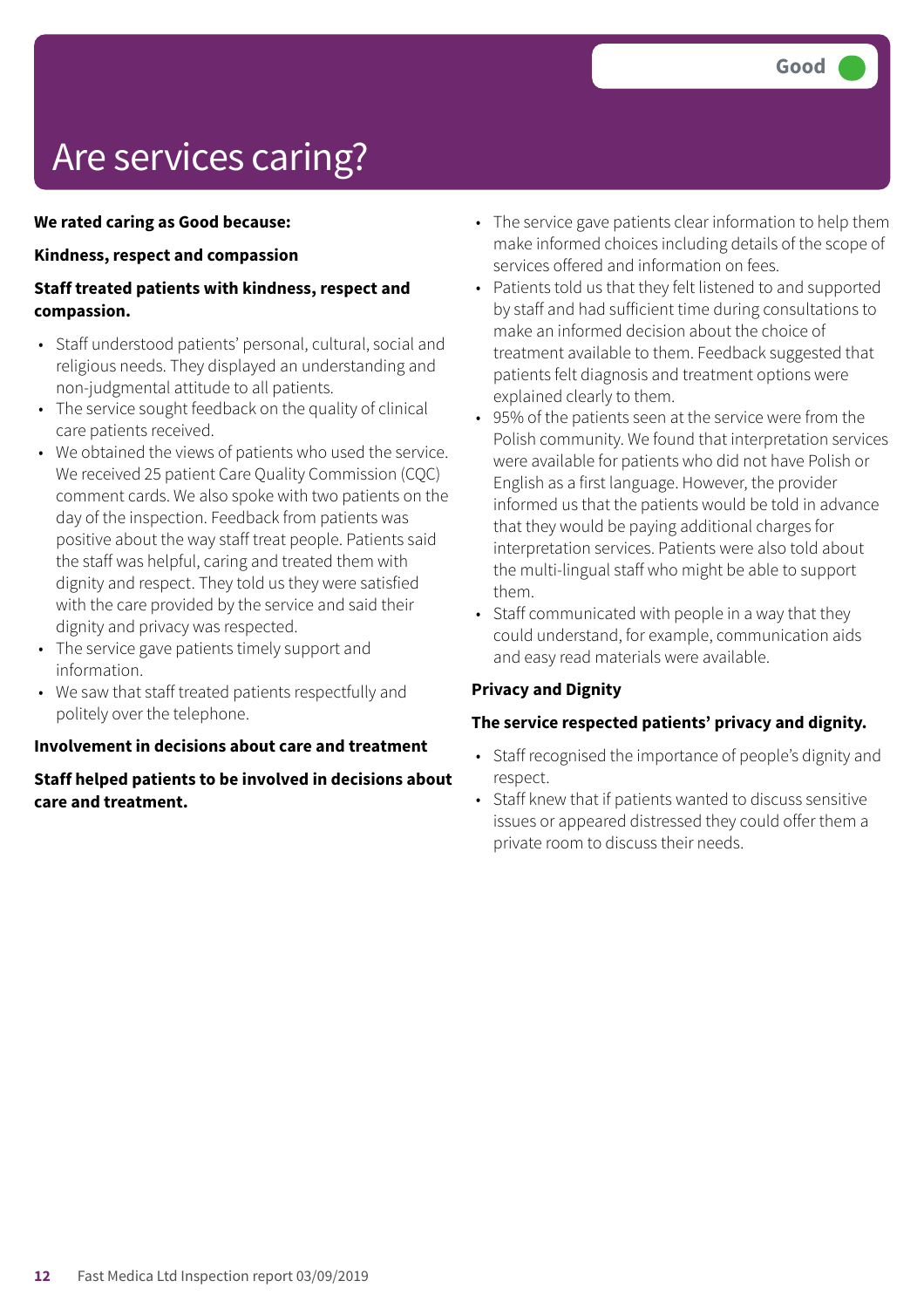# Are services caring?

#### **We rated caring as Good because:**

#### **Kindness, respect and compassion**

#### **Staff treated patients with kindness, respect and compassion.**

- Staff understood patients' personal, cultural, social and religious needs. They displayed an understanding and non-judgmental attitude to all patients.
- The service sought feedback on the quality of clinical care patients received.
- We obtained the views of patients who used the service. We received 25 patient Care Quality Commission (CQC) comment cards. We also spoke with two patients on the day of the inspection. Feedback from patients was positive about the way staff treat people. Patients said the staff was helpful, caring and treated them with dignity and respect. They told us they were satisfied with the care provided by the service and said their dignity and privacy was respected.
- The service gave patients timely support and information.
- We saw that staff treated patients respectfully and politely over the telephone.

#### **Involvement in decisions about care and treatment**

#### **Staff helped patients to be involved in decisions about care and treatment.**

- The service gave patients clear information to help them make informed choices including details of the scope of services offered and information on fees.
- Patients told us that they felt listened to and supported by staff and had sufficient time during consultations to make an informed decision about the choice of treatment available to them. Feedback suggested that patients felt diagnosis and treatment options were explained clearly to them.
- 95% of the patients seen at the service were from the Polish community. We found that interpretation services were available for patients who did not have Polish or English as a first language. However, the provider informed us that the patients would be told in advance that they would be paying additional charges for interpretation services. Patients were also told about the multi-lingual staff who might be able to support them.
- Staff communicated with people in a way that they could understand, for example, communication aids and easy read materials were available.

#### **Privacy and Dignity**

#### **The service respected patients' privacy and dignity.**

- Staff recognised the importance of people's dignity and respect.
- Staff knew that if patients wanted to discuss sensitive issues or appeared distressed they could offer them a private room to discuss their needs.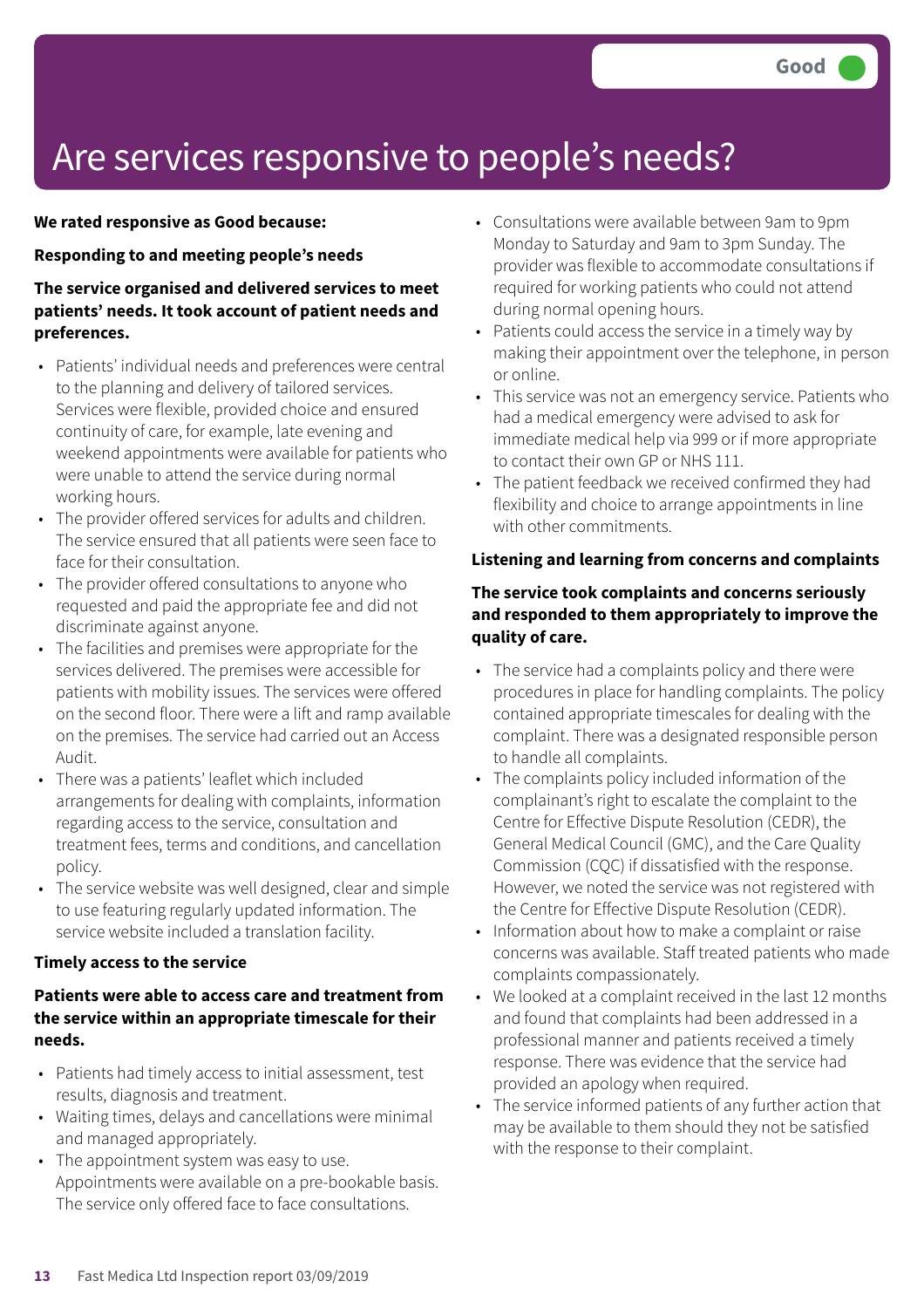### Are services responsive to people's needs?

#### **We rated responsive as Good because:**

#### **Responding to and meeting people's needs**

#### **The service organised and delivered services to meet patients' needs. It took account of patient needs and preferences.**

- Patients' individual needs and preferences were central to the planning and delivery of tailored services. Services were flexible, provided choice and ensured continuity of care, for example, late evening and weekend appointments were available for patients who were unable to attend the service during normal working hours.
- The provider offered services for adults and children. The service ensured that all patients were seen face to face for their consultation.
- The provider offered consultations to anyone who requested and paid the appropriate fee and did not discriminate against anyone.
- The facilities and premises were appropriate for the services delivered. The premises were accessible for patients with mobility issues. The services were offered on the second floor. There were a lift and ramp available on the premises. The service had carried out an Access Audit.
- There was a patients' leaflet which included arrangements for dealing with complaints, information regarding access to the service, consultation and treatment fees, terms and conditions, and cancellation policy.
- The service website was well designed, clear and simple to use featuring regularly updated information. The service website included a translation facility.

#### **Timely access to the service**

#### **Patients were able to access care and treatment from the service within an appropriate timescale for their needs.**

- Patients had timely access to initial assessment, test results, diagnosis and treatment.
- Waiting times, delays and cancellations were minimal and managed appropriately.
- The appointment system was easy to use. Appointments were available on a pre-bookable basis. The service only offered face to face consultations.
- Consultations were available between 9am to 9pm Monday to Saturday and 9am to 3pm Sunday. The provider was flexible to accommodate consultations if required for working patients who could not attend during normal opening hours.
- Patients could access the service in a timely way by making their appointment over the telephone, in person or online.
- This service was not an emergency service. Patients who had a medical emergency were advised to ask for immediate medical help via 999 or if more appropriate to contact their own GP or NHS 111.
- The patient feedback we received confirmed they had flexibility and choice to arrange appointments in line with other commitments.

#### **Listening and learning from concerns and complaints**

#### **The service took complaints and concerns seriously and responded to them appropriately to improve the quality of care.**

- The service had a complaints policy and there were procedures in place for handling complaints. The policy contained appropriate timescales for dealing with the complaint. There was a designated responsible person to handle all complaints.
- The complaints policy included information of the complainant's right to escalate the complaint to the Centre for Effective Dispute Resolution (CEDR), the General Medical Council (GMC), and the Care Quality Commission (CQC) if dissatisfied with the response. However, we noted the service was not registered with the Centre for Effective Dispute Resolution (CEDR).
- Information about how to make a complaint or raise concerns was available. Staff treated patients who made complaints compassionately.
- We looked at a complaint received in the last 12 months and found that complaints had been addressed in a professional manner and patients received a timely response. There was evidence that the service had provided an apology when required.
- The service informed patients of any further action that may be available to them should they not be satisfied with the response to their complaint.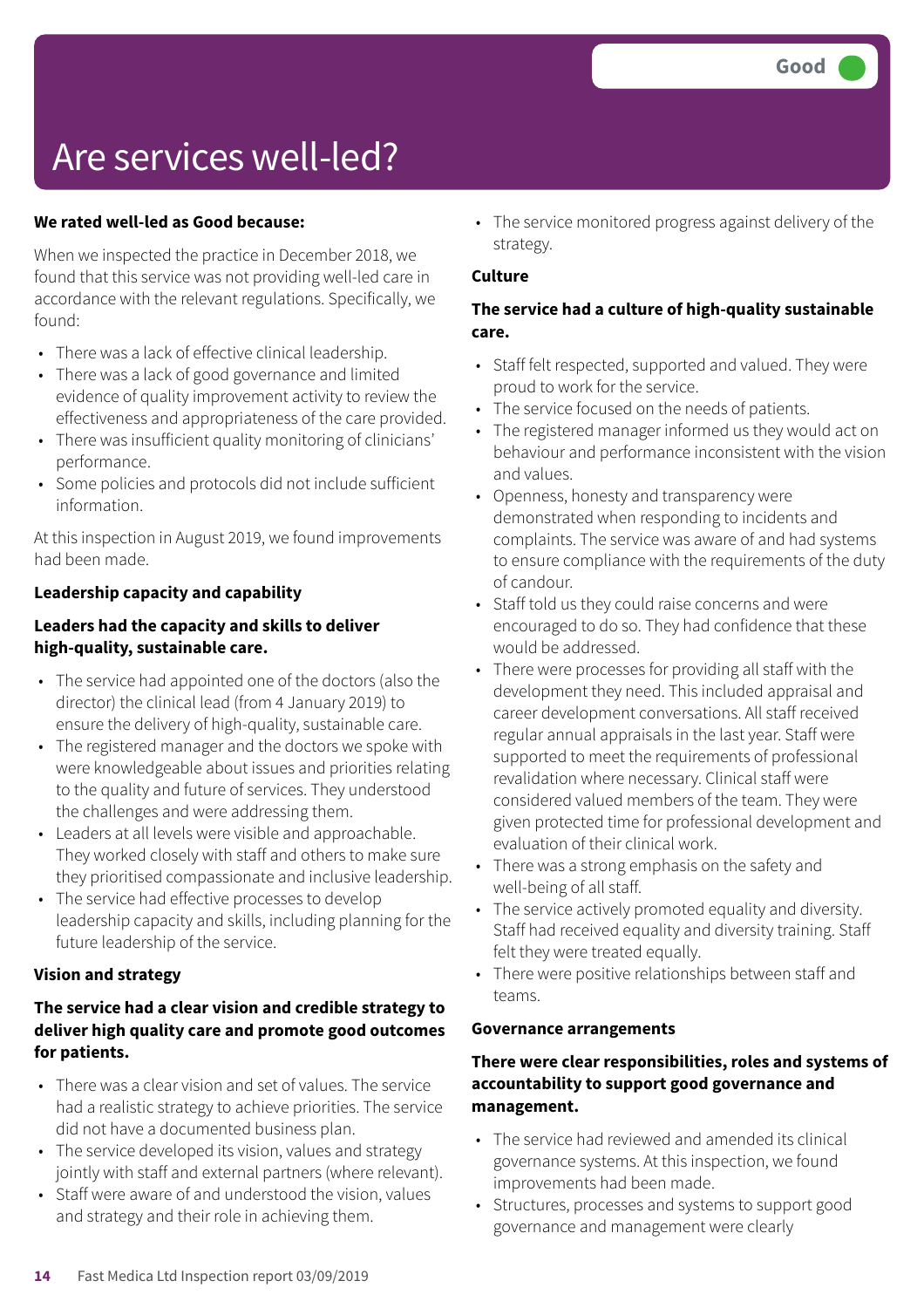### Are services well-led?

#### **We rated well-led as Good because:**

When we inspected the practice in December 2018, we found that this service was not providing well-led care in accordance with the relevant regulations. Specifically, we found:

- There was a lack of effective clinical leadership.
- There was a lack of good governance and limited evidence of quality improvement activity to review the effectiveness and appropriateness of the care provided.
- There was insufficient quality monitoring of clinicians' performance.
- Some policies and protocols did not include sufficient information.

At this inspection in August 2019, we found improvements had been made.

#### **Leadership capacity and capability**

#### **Leaders had the capacity and skills to deliver high-quality, sustainable care.**

- The service had appointed one of the doctors (also the director) the clinical lead (from 4 January 2019) to ensure the delivery of high-quality, sustainable care.
- The registered manager and the doctors we spoke with were knowledgeable about issues and priorities relating to the quality and future of services. They understood the challenges and were addressing them.
- Leaders at all levels were visible and approachable. They worked closely with staff and others to make sure they prioritised compassionate and inclusive leadership.
- The service had effective processes to develop leadership capacity and skills, including planning for the future leadership of the service.

#### **Vision and strategy**

#### **The service had a clear vision and credible strategy to deliver high quality care and promote good outcomes for patients.**

- There was a clear vision and set of values. The service had a realistic strategy to achieve priorities. The service did not have a documented business plan.
- The service developed its vision, values and strategy jointly with staff and external partners (where relevant).
- Staff were aware of and understood the vision, values and strategy and their role in achieving them.

• The service monitored progress against delivery of the strategy.

#### **Culture**

#### **The service had a culture of high-quality sustainable care.**

- Staff felt respected, supported and valued. They were proud to work for the service.
- The service focused on the needs of patients.
- The registered manager informed us they would act on behaviour and performance inconsistent with the vision and values.
- Openness, honesty and transparency were demonstrated when responding to incidents and complaints. The service was aware of and had systems to ensure compliance with the requirements of the duty of candour.
- Staff told us they could raise concerns and were encouraged to do so. They had confidence that these would be addressed.
- There were processes for providing all staff with the development they need. This included appraisal and career development conversations. All staff received regular annual appraisals in the last year. Staff were supported to meet the requirements of professional revalidation where necessary. Clinical staff were considered valued members of the team. They were given protected time for professional development and evaluation of their clinical work.
- There was a strong emphasis on the safety and well-being of all staff.
- The service actively promoted equality and diversity. Staff had received equality and diversity training. Staff felt they were treated equally.
- There were positive relationships between staff and teams.

#### **Governance arrangements**

#### **There were clear responsibilities, roles and systems of accountability to support good governance and management.**

- The service had reviewed and amended its clinical governance systems. At this inspection, we found improvements had been made.
- Structures, processes and systems to support good governance and management were clearly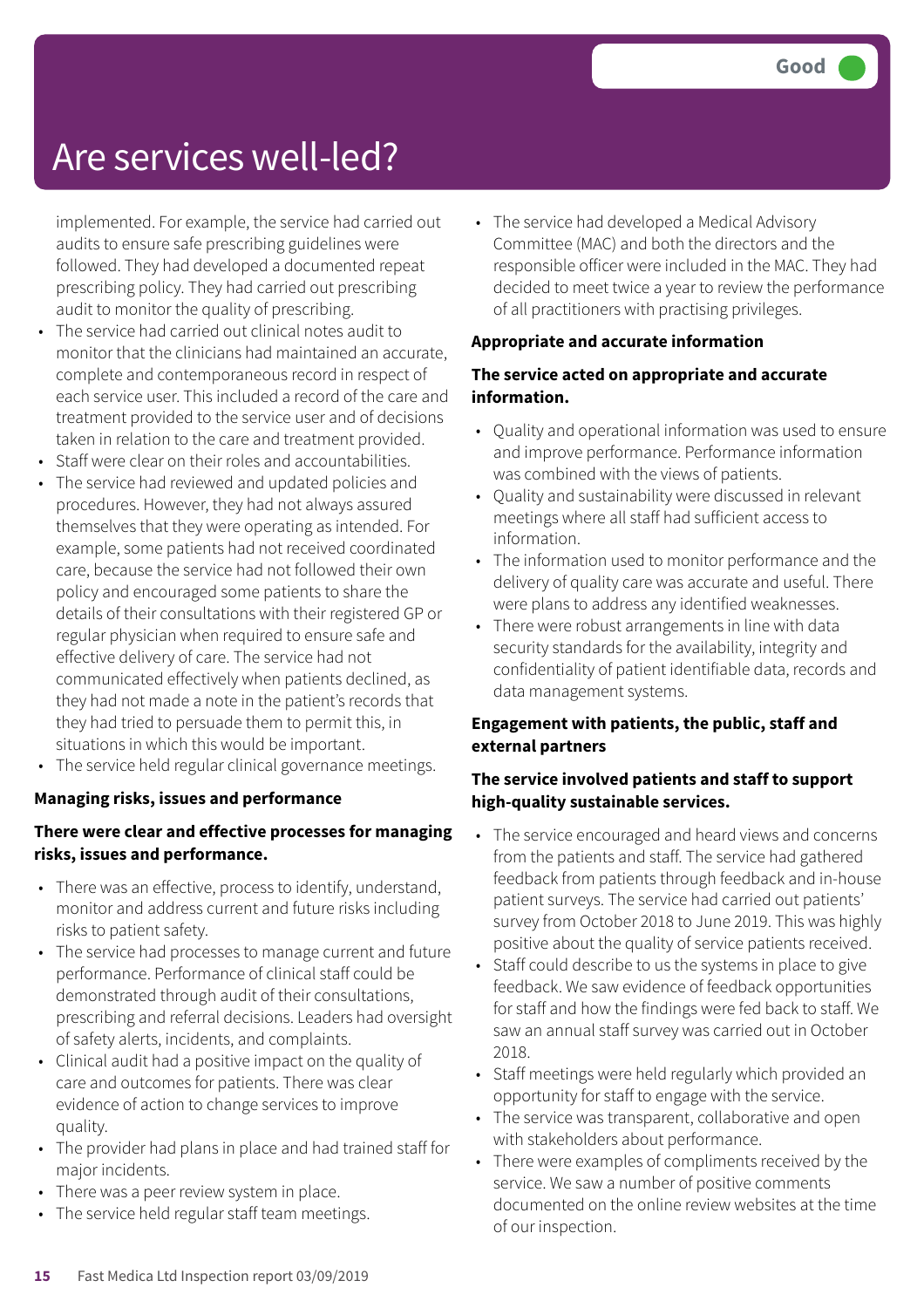### Are services well-led?

implemented. For example, the service had carried out audits to ensure safe prescribing guidelines were followed. They had developed a documented repeat prescribing policy. They had carried out prescribing audit to monitor the quality of prescribing.

- The service had carried out clinical notes audit to monitor that the clinicians had maintained an accurate, complete and contemporaneous record in respect of each service user. This included a record of the care and treatment provided to the service user and of decisions taken in relation to the care and treatment provided.
- Staff were clear on their roles and accountabilities.
- The service had reviewed and updated policies and procedures. However, they had not always assured themselves that they were operating as intended. For example, some patients had not received coordinated care, because the service had not followed their own policy and encouraged some patients to share the details of their consultations with their registered GP or regular physician when required to ensure safe and effective delivery of care. The service had not communicated effectively when patients declined, as they had not made a note in the patient's records that they had tried to persuade them to permit this, in situations in which this would be important.
- The service held regular clinical governance meetings.

#### **Managing risks, issues and performance**

#### **There were clear and effective processes for managing risks, issues and performance.**

- There was an effective, process to identify, understand, monitor and address current and future risks including risks to patient safety.
- The service had processes to manage current and future performance. Performance of clinical staff could be demonstrated through audit of their consultations, prescribing and referral decisions. Leaders had oversight of safety alerts, incidents, and complaints.
- Clinical audit had a positive impact on the quality of care and outcomes for patients. There was clear evidence of action to change services to improve quality.
- The provider had plans in place and had trained staff for major incidents.
- There was a peer review system in place.
- The service held regular staff team meetings.

• The service had developed a Medical Advisory Committee (MAC) and both the directors and the responsible officer were included in the MAC. They had decided to meet twice a year to review the performance of all practitioners with practising privileges.

#### **Appropriate and accurate information**

#### **The service acted on appropriate and accurate information.**

- Quality and operational information was used to ensure and improve performance. Performance information was combined with the views of patients.
- Quality and sustainability were discussed in relevant meetings where all staff had sufficient access to information.
- The information used to monitor performance and the delivery of quality care was accurate and useful. There were plans to address any identified weaknesses.
- There were robust arrangements in line with data security standards for the availability, integrity and confidentiality of patient identifiable data, records and data management systems.

#### **Engagement with patients, the public, staff and external partners**

#### **The service involved patients and staff to support high-quality sustainable services.**

- The service encouraged and heard views and concerns from the patients and staff. The service had gathered feedback from patients through feedback and in-house patient surveys. The service had carried out patients' survey from October 2018 to June 2019. This was highly positive about the quality of service patients received.
- Staff could describe to us the systems in place to give feedback. We saw evidence of feedback opportunities for staff and how the findings were fed back to staff. We saw an annual staff survey was carried out in October 2018.
- Staff meetings were held regularly which provided an opportunity for staff to engage with the service.
- The service was transparent, collaborative and open with stakeholders about performance.
- There were examples of compliments received by the service. We saw a number of positive comments documented on the online review websites at the time of our inspection.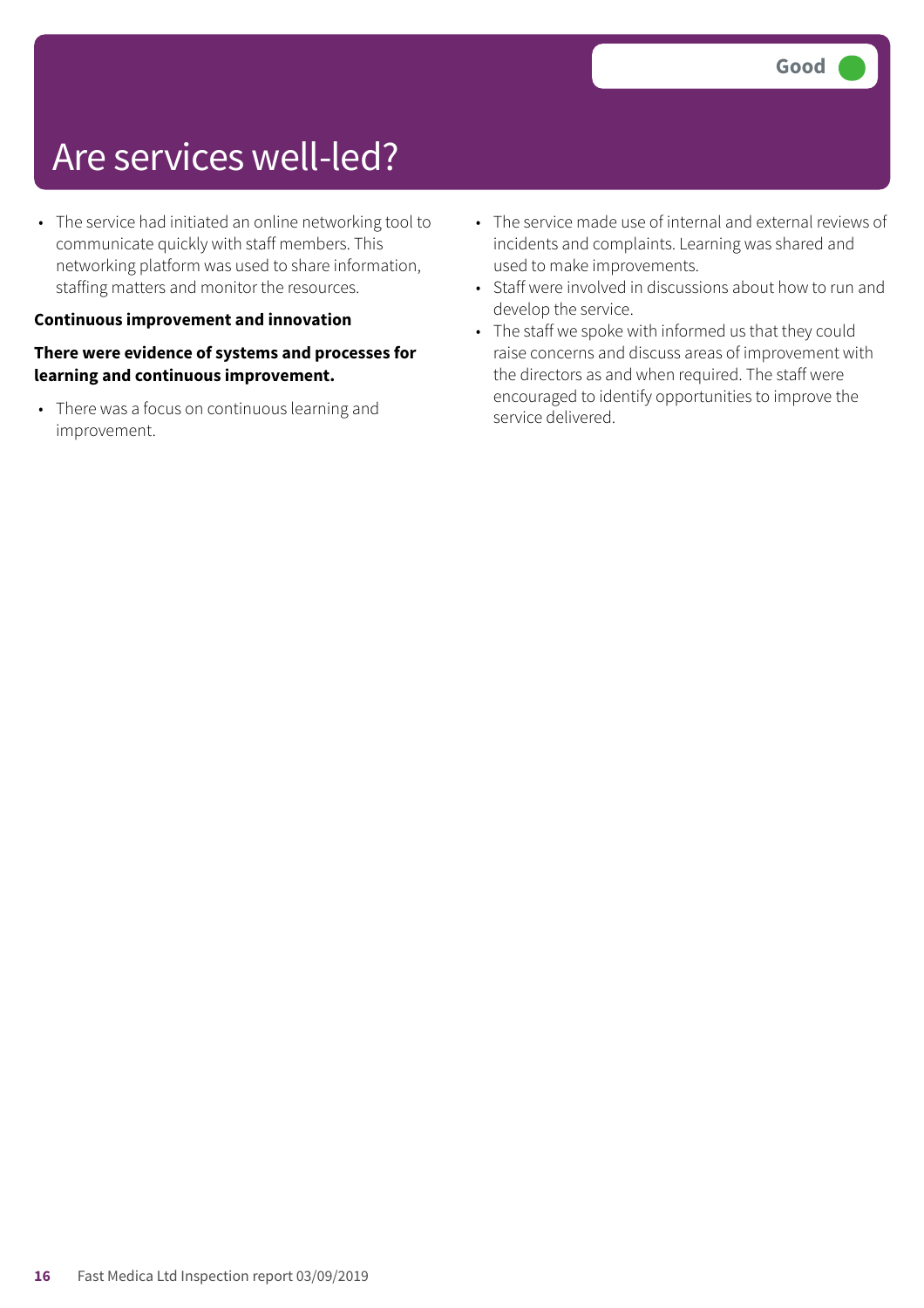### Are services well-led?

• The service had initiated an online networking tool to communicate quickly with staff members. This networking platform was used to share information, staffing matters and monitor the resources.

#### **Continuous improvement and innovation**

#### **There were evidence of systems and processes for learning and continuous improvement.**

• There was a focus on continuous learning and improvement.

- The service made use of internal and external reviews of incidents and complaints. Learning was shared and used to make improvements.
- Staff were involved in discussions about how to run and develop the service.
- The staff we spoke with informed us that they could raise concerns and discuss areas of improvement with the directors as and when required. The staff were encouraged to identify opportunities to improve the service delivered.